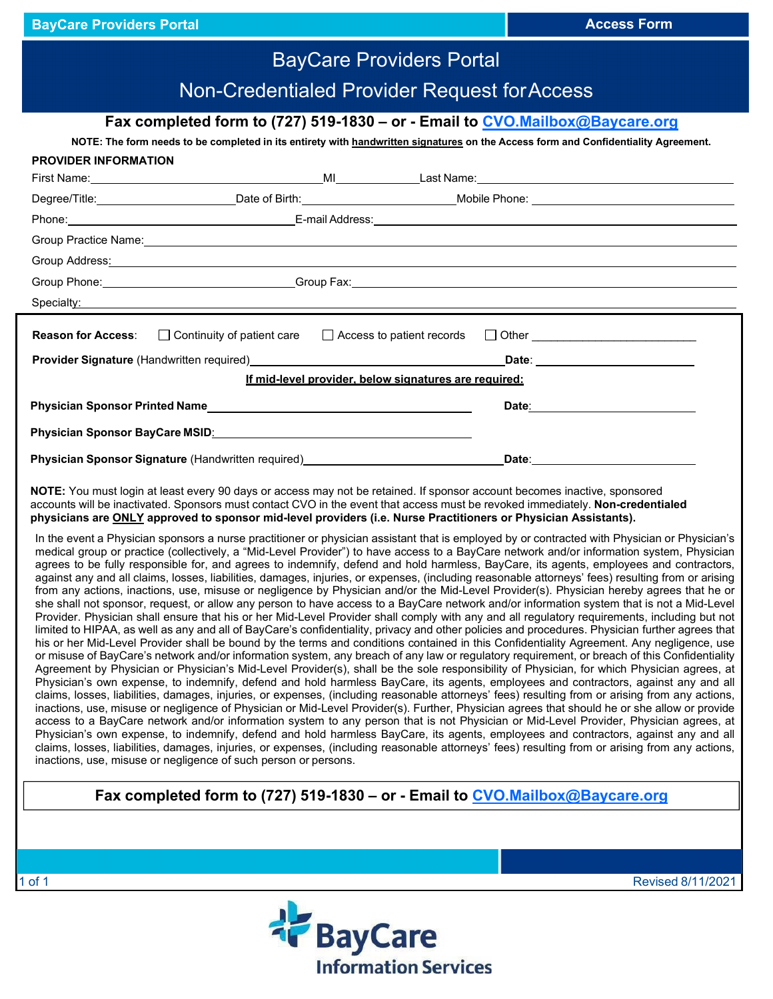| <b>BayCare Providers Portal</b>                                                                                                                                                                                                                                                                                                                                                                                                                                                                                                                                                                                                                                                                                                                                                                                                                                                                                                                                                                                                                                                                                                                                                                                                                                                                                                                                                                                                                                                                                                                                                                                                                                                                                                                                                                                                                                                                                                                                                                                                                                                                                                                                                                                                                                                                                                                                                                                                                                                                                                                                                                                                                                                                                                                                                                                                                                                                                                                                    |  |
|--------------------------------------------------------------------------------------------------------------------------------------------------------------------------------------------------------------------------------------------------------------------------------------------------------------------------------------------------------------------------------------------------------------------------------------------------------------------------------------------------------------------------------------------------------------------------------------------------------------------------------------------------------------------------------------------------------------------------------------------------------------------------------------------------------------------------------------------------------------------------------------------------------------------------------------------------------------------------------------------------------------------------------------------------------------------------------------------------------------------------------------------------------------------------------------------------------------------------------------------------------------------------------------------------------------------------------------------------------------------------------------------------------------------------------------------------------------------------------------------------------------------------------------------------------------------------------------------------------------------------------------------------------------------------------------------------------------------------------------------------------------------------------------------------------------------------------------------------------------------------------------------------------------------------------------------------------------------------------------------------------------------------------------------------------------------------------------------------------------------------------------------------------------------------------------------------------------------------------------------------------------------------------------------------------------------------------------------------------------------------------------------------------------------------------------------------------------------------------------------------------------------------------------------------------------------------------------------------------------------------------------------------------------------------------------------------------------------------------------------------------------------------------------------------------------------------------------------------------------------------------------------------------------------------------------------------------------------|--|
| Non-Credentialed Provider Request for Access                                                                                                                                                                                                                                                                                                                                                                                                                                                                                                                                                                                                                                                                                                                                                                                                                                                                                                                                                                                                                                                                                                                                                                                                                                                                                                                                                                                                                                                                                                                                                                                                                                                                                                                                                                                                                                                                                                                                                                                                                                                                                                                                                                                                                                                                                                                                                                                                                                                                                                                                                                                                                                                                                                                                                                                                                                                                                                                       |  |
| Fax completed form to (727) 519-1830 - or - Email to CVO.Mailbox@Baycare.org                                                                                                                                                                                                                                                                                                                                                                                                                                                                                                                                                                                                                                                                                                                                                                                                                                                                                                                                                                                                                                                                                                                                                                                                                                                                                                                                                                                                                                                                                                                                                                                                                                                                                                                                                                                                                                                                                                                                                                                                                                                                                                                                                                                                                                                                                                                                                                                                                                                                                                                                                                                                                                                                                                                                                                                                                                                                                       |  |
| NOTE: The form needs to be completed in its entirety with handwritten signatures on the Access form and Confidentiality Agreement.<br><b>PROVIDER INFORMATION</b>                                                                                                                                                                                                                                                                                                                                                                                                                                                                                                                                                                                                                                                                                                                                                                                                                                                                                                                                                                                                                                                                                                                                                                                                                                                                                                                                                                                                                                                                                                                                                                                                                                                                                                                                                                                                                                                                                                                                                                                                                                                                                                                                                                                                                                                                                                                                                                                                                                                                                                                                                                                                                                                                                                                                                                                                  |  |
|                                                                                                                                                                                                                                                                                                                                                                                                                                                                                                                                                                                                                                                                                                                                                                                                                                                                                                                                                                                                                                                                                                                                                                                                                                                                                                                                                                                                                                                                                                                                                                                                                                                                                                                                                                                                                                                                                                                                                                                                                                                                                                                                                                                                                                                                                                                                                                                                                                                                                                                                                                                                                                                                                                                                                                                                                                                                                                                                                                    |  |
|                                                                                                                                                                                                                                                                                                                                                                                                                                                                                                                                                                                                                                                                                                                                                                                                                                                                                                                                                                                                                                                                                                                                                                                                                                                                                                                                                                                                                                                                                                                                                                                                                                                                                                                                                                                                                                                                                                                                                                                                                                                                                                                                                                                                                                                                                                                                                                                                                                                                                                                                                                                                                                                                                                                                                                                                                                                                                                                                                                    |  |
|                                                                                                                                                                                                                                                                                                                                                                                                                                                                                                                                                                                                                                                                                                                                                                                                                                                                                                                                                                                                                                                                                                                                                                                                                                                                                                                                                                                                                                                                                                                                                                                                                                                                                                                                                                                                                                                                                                                                                                                                                                                                                                                                                                                                                                                                                                                                                                                                                                                                                                                                                                                                                                                                                                                                                                                                                                                                                                                                                                    |  |
|                                                                                                                                                                                                                                                                                                                                                                                                                                                                                                                                                                                                                                                                                                                                                                                                                                                                                                                                                                                                                                                                                                                                                                                                                                                                                                                                                                                                                                                                                                                                                                                                                                                                                                                                                                                                                                                                                                                                                                                                                                                                                                                                                                                                                                                                                                                                                                                                                                                                                                                                                                                                                                                                                                                                                                                                                                                                                                                                                                    |  |
| Group Address: Andreas Address: Andreas Address Andreas Address Andreas Address Address Address: Andreas Address A                                                                                                                                                                                                                                                                                                                                                                                                                                                                                                                                                                                                                                                                                                                                                                                                                                                                                                                                                                                                                                                                                                                                                                                                                                                                                                                                                                                                                                                                                                                                                                                                                                                                                                                                                                                                                                                                                                                                                                                                                                                                                                                                                                                                                                                                                                                                                                                                                                                                                                                                                                                                                                                                                                                                                                                                                                                 |  |
| Group Phone: Crown Communication Communication Communication Communication Communication Communication Communication Communication Communication Communication Communication Communication Communication Communication Communi                                                                                                                                                                                                                                                                                                                                                                                                                                                                                                                                                                                                                                                                                                                                                                                                                                                                                                                                                                                                                                                                                                                                                                                                                                                                                                                                                                                                                                                                                                                                                                                                                                                                                                                                                                                                                                                                                                                                                                                                                                                                                                                                                                                                                                                                                                                                                                                                                                                                                                                                                                                                                                                                                                                                     |  |
| Specialty: Specialty: Specialty: Specialty: Specialty: Specialty: Specialty: Specialty: Specialty: Specialty: Specialty: Specialty: Specialty: Specialty: Specialty: Specialty: Specialty: Specialty: Specialty: Specialty: Sp                                                                                                                                                                                                                                                                                                                                                                                                                                                                                                                                                                                                                                                                                                                                                                                                                                                                                                                                                                                                                                                                                                                                                                                                                                                                                                                                                                                                                                                                                                                                                                                                                                                                                                                                                                                                                                                                                                                                                                                                                                                                                                                                                                                                                                                                                                                                                                                                                                                                                                                                                                                                                                                                                                                                     |  |
| <b>Reason for Access:</b><br>$\Box$ Continuity of patient care<br>$\Box$ Access to patient records                                                                                                                                                                                                                                                                                                                                                                                                                                                                                                                                                                                                                                                                                                                                                                                                                                                                                                                                                                                                                                                                                                                                                                                                                                                                                                                                                                                                                                                                                                                                                                                                                                                                                                                                                                                                                                                                                                                                                                                                                                                                                                                                                                                                                                                                                                                                                                                                                                                                                                                                                                                                                                                                                                                                                                                                                                                                 |  |
|                                                                                                                                                                                                                                                                                                                                                                                                                                                                                                                                                                                                                                                                                                                                                                                                                                                                                                                                                                                                                                                                                                                                                                                                                                                                                                                                                                                                                                                                                                                                                                                                                                                                                                                                                                                                                                                                                                                                                                                                                                                                                                                                                                                                                                                                                                                                                                                                                                                                                                                                                                                                                                                                                                                                                                                                                                                                                                                                                                    |  |
| If mid-level provider, below signatures are required:                                                                                                                                                                                                                                                                                                                                                                                                                                                                                                                                                                                                                                                                                                                                                                                                                                                                                                                                                                                                                                                                                                                                                                                                                                                                                                                                                                                                                                                                                                                                                                                                                                                                                                                                                                                                                                                                                                                                                                                                                                                                                                                                                                                                                                                                                                                                                                                                                                                                                                                                                                                                                                                                                                                                                                                                                                                                                                              |  |
| Date: Natural Contract of the Contract of the Contract of the Contract of the Contract of the Contract of the Contract of the Contract of the Contract of the Contract of the Contract of the Contract of the Contract of the                                                                                                                                                                                                                                                                                                                                                                                                                                                                                                                                                                                                                                                                                                                                                                                                                                                                                                                                                                                                                                                                                                                                                                                                                                                                                                                                                                                                                                                                                                                                                                                                                                                                                                                                                                                                                                                                                                                                                                                                                                                                                                                                                                                                                                                                                                                                                                                                                                                                                                                                                                                                                                                                                                                                      |  |
| Physician Sponsor BayCare MSID: Manual Communication of Physician Sponsor BayCare MSID:                                                                                                                                                                                                                                                                                                                                                                                                                                                                                                                                                                                                                                                                                                                                                                                                                                                                                                                                                                                                                                                                                                                                                                                                                                                                                                                                                                                                                                                                                                                                                                                                                                                                                                                                                                                                                                                                                                                                                                                                                                                                                                                                                                                                                                                                                                                                                                                                                                                                                                                                                                                                                                                                                                                                                                                                                                                                            |  |
| Physician Sponsor Signature (Handwritten required)<br>France Communication Communication Communication Communication Communication Communication Communication Comm                                                                                                                                                                                                                                                                                                                                                                                                                                                                                                                                                                                                                                                                                                                                                                                                                                                                                                                                                                                                                                                                                                                                                                                                                                                                                                                                                                                                                                                                                                                                                                                                                                                                                                                                                                                                                                                                                                                                                                                                                                                                                                                                                                                                                                                                                                                                                                                                                                                                                                                                                                                                                                                                                                                                                                                                |  |
| NOTE: You must login at least every 90 days or access may not be retained. If sponsor account becomes inactive, sponsored<br>accounts will be inactivated. Sponsors must contact CVO in the event that access must be revoked immediately. Non-credentialed<br>physicians are ONLY approved to sponsor mid-level providers (i.e. Nurse Practitioners or Physician Assistants).<br>In the event a Physician sponsors a nurse practitioner or physician assistant that is employed by or contracted with Physician or Physician's<br>medical group or practice (collectively, a "Mid-Level Provider") to have access to a BayCare network and/or information system, Physician<br>agrees to be fully responsible for, and agrees to indemnify, defend and hold harmless, BayCare, its agents, employees and contractors,<br>against any and all claims, losses, liabilities, damages, injuries, or expenses, (including reasonable attorneys' fees) resulting from or arising<br>from any actions, inactions, use, misuse or negligence by Physician and/or the Mid-Level Provider(s). Physician hereby agrees that he or<br>she shall not sponsor, request, or allow any person to have access to a BayCare network and/or information system that is not a Mid-Level<br>Provider. Physician shall ensure that his or her Mid-Level Provider shall comply with any and all regulatory requirements, including but not<br>limited to HIPAA, as well as any and all of BayCare's confidentiality, privacy and other policies and procedures. Physician further agrees that<br>his or her Mid-Level Provider shall be bound by the terms and conditions contained in this Confidentiality Agreement. Any negligence, use<br>or misuse of BayCare's network and/or information system, any breach of any law or regulatory requirement, or breach of this Confidentiality<br>Agreement by Physician or Physician's Mid-Level Provider(s), shall be the sole responsibility of Physician, for which Physician agrees, at<br>Physician's own expense, to indemnify, defend and hold harmless BayCare, its agents, employees and contractors, against any and all<br>claims, losses, liabilities, damages, injuries, or expenses, (including reasonable attorneys' fees) resulting from or arising from any actions,<br>inactions, use, misuse or negligence of Physician or Mid-Level Provider(s). Further, Physician agrees that should he or she allow or provide<br>access to a BayCare network and/or information system to any person that is not Physician or Mid-Level Provider, Physician agrees, at<br>Physician's own expense, to indemnify, defend and hold harmless BayCare, its agents, employees and contractors, against any and all<br>claims, losses, liabilities, damages, injuries, or expenses, (including reasonable attorneys' fees) resulting from or arising from any actions,<br>inactions, use, misuse or negligence of such person or persons. |  |
| Fax completed form to (727) 519-1830 – or - Email to CVO.Mailbox@Baycare.org                                                                                                                                                                                                                                                                                                                                                                                                                                                                                                                                                                                                                                                                                                                                                                                                                                                                                                                                                                                                                                                                                                                                                                                                                                                                                                                                                                                                                                                                                                                                                                                                                                                                                                                                                                                                                                                                                                                                                                                                                                                                                                                                                                                                                                                                                                                                                                                                                                                                                                                                                                                                                                                                                                                                                                                                                                                                                       |  |
|                                                                                                                                                                                                                                                                                                                                                                                                                                                                                                                                                                                                                                                                                                                                                                                                                                                                                                                                                                                                                                                                                                                                                                                                                                                                                                                                                                                                                                                                                                                                                                                                                                                                                                                                                                                                                                                                                                                                                                                                                                                                                                                                                                                                                                                                                                                                                                                                                                                                                                                                                                                                                                                                                                                                                                                                                                                                                                                                                                    |  |

**BayCare Providers Portal Access Form**



1 of 1 Revised 8/11/2021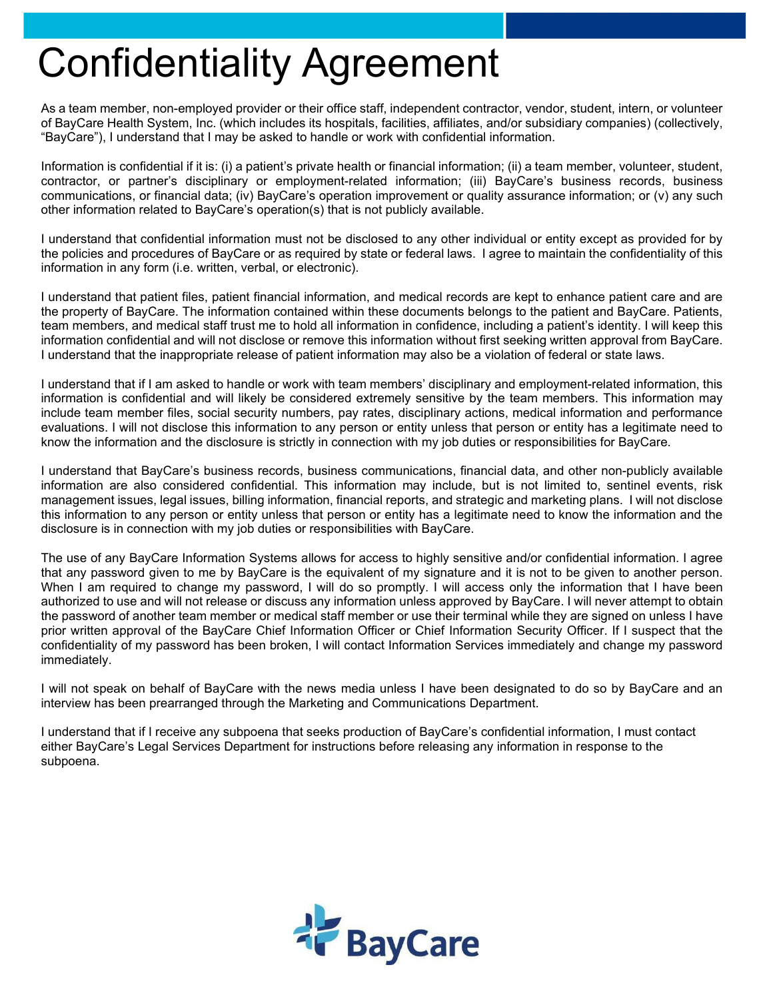## Confidentiality Agreement

As a team member, non-employed provider or their office staff, independent contractor, vendor, student, intern, or volunteer of BayCare Health System, Inc. (which includes its hospitals, facilities, affiliates, and/or subsidiary companies) (collectively, "BayCare"), I understand that I may be asked to handle or work with confidential information.

Information is confidential if it is: (i) a patient's private health or financial information; (ii) a team member, volunteer, student, contractor, or partner's disciplinary or employment-related information; (iii) BayCare's business records, business communications, or financial data; (iv) BayCare's operation improvement or quality assurance information; or (v) any such other information related to BayCare's operation(s) that is not publicly available.

I understand that confidential information must not be disclosed to any other individual or entity except as provided for by the policies and procedures of BayCare or as required by state or federal laws. I agree to maintain the confidentiality of this information in any form (i.e. written, verbal, or electronic).

I understand that patient files, patient financial information, and medical records are kept to enhance patient care and are the property of BayCare. The information contained within these documents belongs to the patient and BayCare. Patients, team members, and medical staff trust me to hold all information in confidence, including a patient's identity. I will keep this information confidential and will not disclose or remove this information without first seeking written approval from BayCare. I understand that the inappropriate release of patient information may also be a violation of federal or state laws.

I understand that if I am asked to handle or work with team members' disciplinary and employment-related information, this information is confidential and will likely be considered extremely sensitive by the team members. This information may include team member files, social security numbers, pay rates, disciplinary actions, medical information and performance evaluations. I will not disclose this information to any person or entity unless that person or entity has a legitimate need to know the information and the disclosure is strictly in connection with my job duties or responsibilities for BayCare.

I understand that BayCare's business records, business communications, financial data, and other non-publicly available information are also considered confidential. This information may include, but is not limited to, sentinel events, risk management issues, legal issues, billing information, financial reports, and strategic and marketing plans. I will not disclose this information to any person or entity unless that person or entity has a legitimate need to know the information and the disclosure is in connection with my job duties or responsibilities with BayCare.

The use of any BayCare Information Systems allows for access to highly sensitive and/or confidential information. I agree that any password given to me by BayCare is the equivalent of my signature and it is not to be given to another person. When I am required to change my password, I will do so promptly. I will access only the information that I have been authorized to use and will not release or discuss any information unless approved by BayCare. I will never attempt to obtain the password of another team member or medical staff member or use their terminal while they are signed on unless I have prior written approval of the BayCare Chief Information Officer or Chief Information Security Officer. If I suspect that the confidentiality of my password has been broken, I will contact Information Services immediately and change my password immediately.

I will not speak on behalf of BayCare with the news media unless I have been designated to do so by BayCare and an interview has been prearranged through the Marketing and Communications Department.

I understand that if I receive any subpoena that seeks production of BayCare's confidential information, I must contact either BayCare's Legal Services Department for instructions before releasing any information in response to the subpoena.